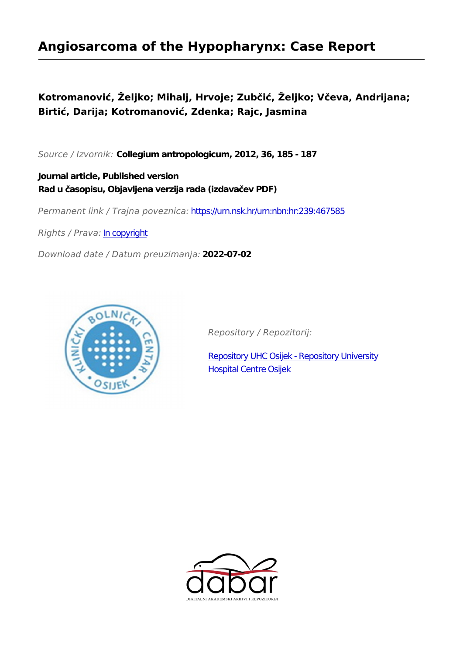# **Angiosarcoma of the Hypopharynx: Case Report**

# **Kotromanović, Željko; Mihalj, Hrvoje; Zubčić, Željko; Včeva, Andrijana; Birtić, Darija; Kotromanović, Zdenka; Rajc, Jasmina**

*Source / Izvornik:* **Collegium antropologicum, 2012, 36, 185 - 187**

**Journal article, Published version Rad u časopisu, Objavljena verzija rada (izdavačev PDF)**

*Permanent link / Trajna poveznica:* <https://urn.nsk.hr/urn:nbn:hr:239:467585>

*Rights / Prava:* [In copyright](http://rightsstatements.org/vocab/InC/1.0/)

*Download date / Datum preuzimanja:* **2022-07-02**



*Repository / Repozitorij:*

[Repository UHC Osijek - Repository University](https://repozitorij.kbco.hr) [Hospital Centre Osijek](https://repozitorij.kbco.hr)

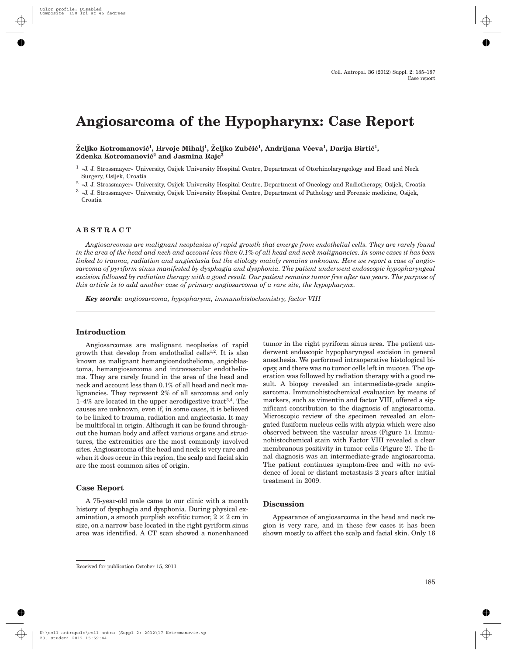# **Angiosarcoma of the Hypopharynx: Case Report**

#### Željko Kotromanović<sup>1</sup>, Hrvoje Mihalj<sup>1</sup>, Željko Zubčić<sup>1</sup>, Andrijana Včeva<sup>1</sup>, Darija Birtić<sup>1</sup>, **Zdenka Kotromanovi}2 and Jasmina Rajc3**

<sup>1</sup> »J. J. Strossmayer« University, Osijek University Hospital Centre, Department of Otorhinolaryngology and Head and Neck Surgery, Osijek, Croatia

2 »J. J. Strossmayer« University, Osijek University Hospital Centre, Department of Oncology and Radiotherapy, Osijek, Croatia

3 »J. J. Strossmayer« University, Osijek University Hospital Centre, Department of Pathology and Forensic medicine, Osijek,

Croatia

# **ABSTRACT**

Angiosarcomas are malignant neoplasias of rapid growth that emerge from endothelial cells. They are rarely found in the area of the head and neck and account less than 0.1% of all head and neck malignancies. In some cases it has been linked to trauma, radiation and angiectasia but the etiology mainly remains unknown. Here we report a case of angiosarcoma of pyriform sinus manifested by dysphagia and dysphonia. The patient underwent endoscopic hypopharyngeal excision followed by radiation therapy with a good result. Our patient remains tumor free after two years. The purpose of this article is to add another case of primary angiosarcoma of a rare site, the hypopharynx.

*Key words: angiosarcoma, hypopharynx, immunohistochemistry, factor VIII*

#### **Introduction**

Angiosarcomas are malignant neoplasias of rapid growth that develop from endothelial cells<sup>1,2</sup>. It is also known as malignant hemangioendothelioma, angioblastoma, hemangiosarcoma and intravascular endothelioma. They are rarely found in the area of the head and neck and account less than 0.1% of all head and neck malignancies. They represent 2% of all sarcomas and only  $1-4\%$  are located in the upper aerodigestive tract<sup>3,4</sup>. The causes are unknown, even if, in some cases, it is believed to be linked to trauma, radiation and angiectasia. It may be multifocal in origin. Although it can be found throughout the human body and affect various organs and structures, the extremities are the most commonly involved sites. Angiosarcoma of the head and neck is very rare and when it does occur in this region, the scalp and facial skin are the most common sites of origin.

#### **Case Report**

A 75-year-old male came to our clinic with <sup>a</sup> month history of dysphagia and dysphonia. During physical examination, a smooth purplish exofitic tumor,  $2 \times 2$  cm in size, on <sup>a</sup> narrow base located in the right pyriform sinus area was identified. A CT scan showed <sup>a</sup> nonenhanced derwent endoscopic hypopharyngeal excision in general anesthesia. We performed intraoperative histological biopsy, and there was no tumor cells left in mucosa. The operation was followed by radiation therapy with <sup>a</sup> good result. A biopsy revealed an intermediate-grade angiosarcoma. Immunohistochemical evaluation by means of markers, such as vimentin and factor VIII, offered <sup>a</sup> significant contribution to the diagnosis of angiosarcoma. Microscopic review of the specimen revealed an elongated fusiform nucleus cells with atypia which were also observed between the vascular areas (Figure 1). Immunohistochemical stain with Factor VIII revealed <sup>a</sup> clear membranous positivity in tumor cells (Figure 2). The final diagnosis was an intermediate-grade angiosarcoma. The patient continues symptom-free and with no evidence of local or distant metastasis 2 years after initial treatment in 2009.

tumor in the right pyriform sinus area. The patient un-

#### **Discussion**

Appearance of angiosarcoma in the head and neck region is very rare, and in these few cases it has been shown mostly to affect the scalp and facial skin. Only 16

Received for publication October 15, 2011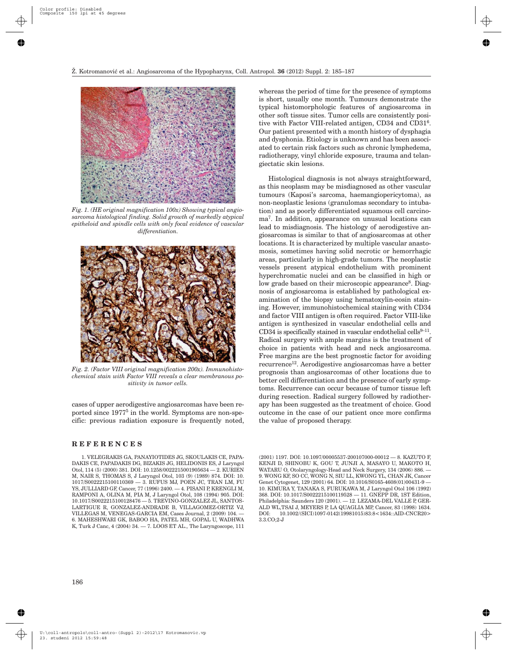

*Fig. 1. (HE original magnification 100x) Showing typical angiosarcoma histological finding. Solid growth of markedly atypical epitheloid and spindle cells with only focal evidence of vascular differentiation.*



*Fig. 2. (Factor VIII original magnification 200x). Immunohistochemical stain with Factor VIII reveals <sup>a</sup> clear membranous positivity in tumor cells.*

cases of upper aerodigestive angiosarcomas have been reported since 1977<sup>5</sup> in the world. Symptoms are non-specific: previous radiation exposure is frequently noted,

## **REFERENCES**

1. VELEGRAKIS GA, PANAYIOTIDES JG, SKOULAKIS CE, PAPA-DAKIS CE, PAPADAKIS DG, BIZAKIS JG, HELIDONIS ES, J Laryngol Otol, 114 (5) (2000) 381. DOI: 10.1258/0022215001905634 — 2. KURIEN M, NAIR S, THOMAS S, J Laryngol Otol, 103 (9) (1989) 874. DOI: 10. 1017/S0022215100110369 — 3. RUFUS MJ, POEN JC, TRAN LM, FU YS, JULLIARD GF, Cancer, 77 (1996) 2400. — 4. PISANI P, KRENGLI M, RAMPONI A, OLINA M, PIA M, J Laryngol Otol, 108 (1994) 905. DOI: 10.1017/S0022215100128476 — 5. TREVINO-GONZALEZ JL, SANTOS-LARTIGUE R, GONZALEZ-ANDRADE B, VILLAGOMEZ-ORTIZ VJ, VILLEGAS M, VENEGAS-GARCIA EM, Cases Journal, 2 (2009) 104. — 6. MAHESHWARI GK, BABOO HA, PATEL MH, GOPAL U, WADHWA K, Turk J Canc, 4 (2004) 34. — 7. LOOS ET AL., The Laryngoscope, 111 whereas the period of time for the presence of symptoms is short, usually one month. Tumours demonstrate the typical histomorphologic features of angiosarcoma in other soft tissue sites. Tumor cells are consistently positive with Factor VIII-related antigen, CD34 and CD316. Our patient presented with <sup>a</sup> month history of dysphagia and dysphonia. Etiology is unknown and has been associated to certain risk factors such as chronic lymphedema, radiotherapy, vinyl chloride exposure, trauma and telangiectatic skin lesions.

Histological diagnosis is not always straightforward, as this neoplasm may be misdiagnosed as other vascular tumours (Kaposi's sarcoma, haemangiopericytoma), as non-neoplastic lesions (granulomas secondary to intubation) and as poorly differentiated squamous cell carcinoma7. In addition, appearance on unusual locations can lead to misdiagnosis. The histology of aerodigestive angiosarcomas is similar to that of angiosarcomas at other locations. It is characterized by multiple vascular anastomosis, sometimes having solid necrotic or hemorrhagic areas, particularly in high-grade tumors. The neoplastic vessels present atypical endothelium with prominent hyperchromatic nuclei and can be classified in high or low grade based on their microscopic appearance<sup>8</sup>. Diagnosis of angiosarcoma is established by pathological examination of the biopsy using hematoxylin-eosin staining. However, immunohistochemical staining with CD34 and factor VIII antigen is often required. Factor VIII-like antigen is synthesized in vascular endothelial cells and CD34 is specifically stained in vascular endothelial cells $9-11$ . Radical surgery with ample margins is the treatment of choice in patients with head and neck angiosarcoma. Free margins are the best prognostic factor for avoiding recurrence12. Aerodigestive angiosarcomas have <sup>a</sup> better prognosis than angiosarcomas of other locations due to better cell differentiation and the presence of early symptoms. Recurrence can occur because of tumor tissue left during resection. Radical surgery followed by radiotherapy has been suggested as the treatment of choice. Good outcome in the case of our patient once more confirms the value of proposed therapy.

(2001) 1197. DOI: 10.1097/00005537-200107000-00012 — 8. KAZUTO F, KENJI D, SHINOBU K, GOU T, JUNJI A, MASAYO U, MAKOTO H, WATARU O, Otolaryngology-Head and Neck Surgery, 134 (2006) 886. — 9. WONG KF, SO CC, WONG N, SIU LL, KWONG YL, CHAN JK, Cancer Genet Cytogenet, 129 (2001) 64. DOI: 10.1016/S0165-4608(01)00431-9 — 10. KIMURA Y, TANAKA S, FURUKAWA M, J Laryngol Otol 106 (1992) 368. DOI: 10.1017/S0022215100119528 — 11. GNEPP DR, 1ST Edition, Philadelphia: Saunders 120 (2001). — 12. LEZAMA-DEL VALLE P, GER-ALD WL,TSAI J, MEYERS P, LA QUAGLIA MP, Cancer, 83 (1998) 1634. DOI: 10.1002/(SICI)1097-0142(19981015)83:8<1634::AID-CNCR20>  $3.3$  CO $\cdot$ 2-J